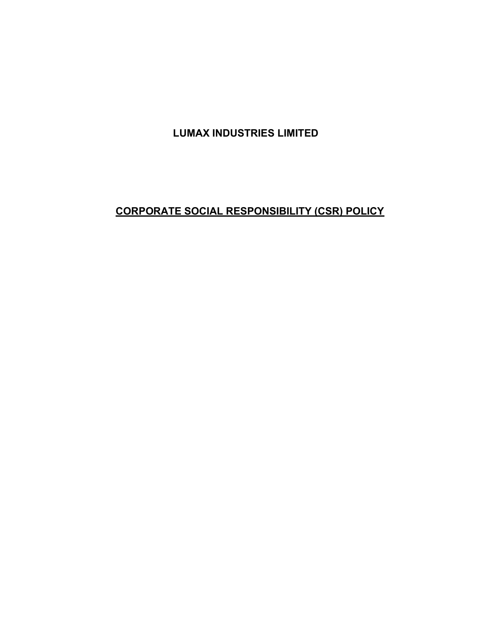LUMAX INDUSTRIES LIMITED

# CORPORATE SOCIAL RESPONSIBILITY (CSR) POLICY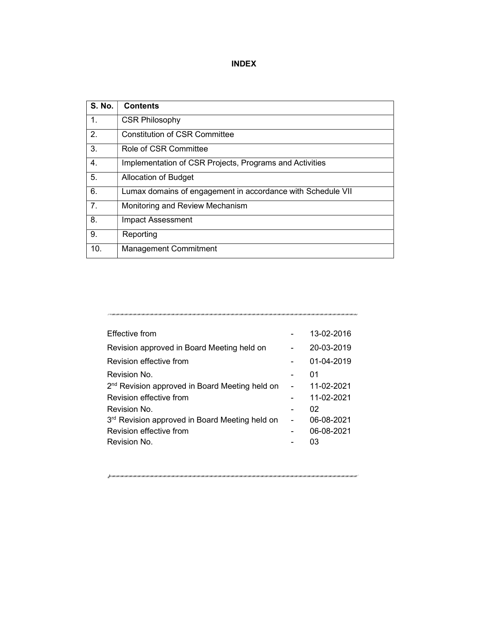# INDEX

| <b>S. No.</b>  | <b>Contents</b>                                             |
|----------------|-------------------------------------------------------------|
| 1.             | <b>CSR Philosophy</b>                                       |
| 2.             | Constitution of CSR Committee                               |
| 3.             | Role of CSR Committee                                       |
| 4.             | Implementation of CSR Projects, Programs and Activities     |
| 5.             | Allocation of Budget                                        |
| 6.             | Lumax domains of engagement in accordance with Schedule VII |
| 7 <sub>1</sub> | Monitoring and Review Mechanism                             |
| 8.             | Impact Assessment                                           |
| 9.             | Reporting                                                   |
| 10.            | <b>Management Commitment</b>                                |

| Effective from                                             |                | 13-02-2016 |
|------------------------------------------------------------|----------------|------------|
| Revision approved in Board Meeting held on                 |                | 20-03-2019 |
| Revision effective from                                    |                | 01-04-2019 |
| Revision No.                                               |                | 01         |
| 2 <sup>nd</sup> Revision approved in Board Meeting held on | $\blacksquare$ | 11-02-2021 |
| Revision effective from                                    |                | 11-02-2021 |
| Revision No.                                               |                | 02         |
| 3 <sup>rd</sup> Revision approved in Board Meeting held on |                | 06-08-2021 |
| Revision effective from                                    |                | 06-08-2021 |
| Revision No.                                               |                | 03         |

jusaisustavainen suomen suomen suomen suomen suomen suomen suomen suomen suomen suomen suomen suomen suomen suomen suomen s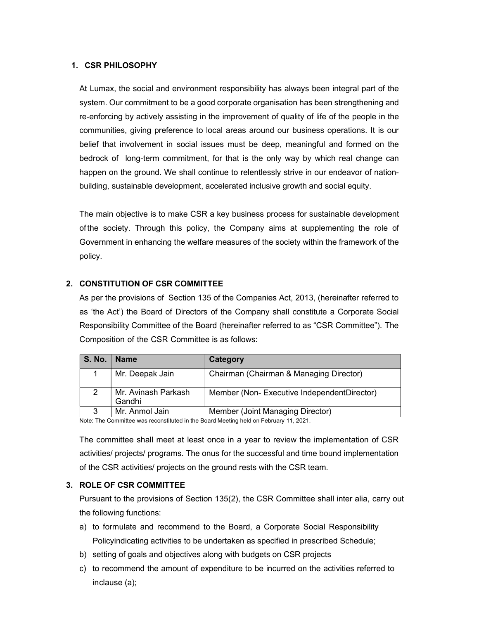### 1. CSR PHILOSOPHY

At Lumax, the social and environment responsibility has always been integral part of the system. Our commitment to be a good corporate organisation has been strengthening and re-enforcing by actively assisting in the improvement of quality of life of the people in the communities, giving preference to local areas around our business operations. It is our belief that involvement in social issues must be deep, meaningful and formed on the bedrock of long-term commitment, for that is the only way by which real change can happen on the ground. We shall continue to relentlessly strive in our endeavor of nationbuilding, sustainable development, accelerated inclusive growth and social equity.

The main objective is to make CSR a key business process for sustainable development of the society. Through this policy, the Company aims at supplementing the role of Government in enhancing the welfare measures of the society within the framework of the policy.

# 2. CONSTITUTION OF CSR COMMITTEE

As per the provisions of Section 135 of the Companies Act, 2013, (hereinafter referred to as 'the Act') the Board of Directors of the Company shall constitute a Corporate Social Responsibility Committee of the Board (hereinafter referred to as "CSR Committee"). The Composition of the CSR Committee is as follows:

| <b>S. No.</b> | <b>Name</b>                   | Category                                   |
|---------------|-------------------------------|--------------------------------------------|
|               | Mr. Deepak Jain               | Chairman (Chairman & Managing Director)    |
|               | Mr. Avinash Parkash<br>Gandhi | Member (Non-Executive IndependentDirector) |
| 2             | Mr. Anmol Jain                | Member (Joint Managing Director)           |

Note: The Committee was reconstituted in the Board Meeting held on February 11, 2021.

The committee shall meet at least once in a year to review the implementation of CSR activities/ projects/ programs. The onus for the successful and time bound implementation of the CSR activities/ projects on the ground rests with the CSR team.

#### 3. ROLE OF CSR COMMITTEE

Pursuant to the provisions of Section 135(2), the CSR Committee shall inter alia, carry out the following functions:

- a) to formulate and recommend to the Board, a Corporate Social Responsibility Policy indicating activities to be undertaken as specified in prescribed Schedule;
- b) setting of goals and objectives along with budgets on CSR projects
- c) to recommend the amount of expenditure to be incurred on the activities referred to inclause (a);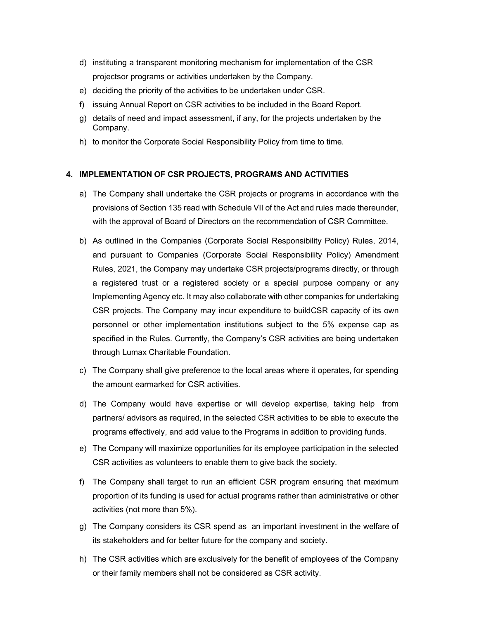- d) instituting a transparent monitoring mechanism for implementation of the CSR projects or programs or activities undertaken by the Company.
- e) deciding the priority of the activities to be undertaken under CSR.
- f) issuing Annual Report on CSR activities to be included in the Board Report.
- g) details of need and impact assessment, if any, for the projects undertaken by the Company.
- h) to monitor the Corporate Social Responsibility Policy from time to time.

## 4. IMPLEMENTATION OF CSR PROJECTS, PROGRAMS AND ACTIVITIES

- a) The Company shall undertake the CSR projects or programs in accordance with the provisions of Section 135 read with Schedule VII of the Act and rules made thereunder, with the approval of Board of Directors on the recommendation of CSR Committee.
- b) As outlined in the Companies (Corporate Social Responsibility Policy) Rules, 2014, and pursuant to Companies (Corporate Social Responsibility Policy) Amendment Rules, 2021, the Company may undertake CSR projects/programs directly, or through a registered trust or a registered society or a special purpose company or any Implementing Agency etc. It may also collaborate with other companies for undertaking CSR projects. The Company may incur expenditure to build CSR capacity of its own personnel or other implementation institutions subject to the 5% expense cap as specified in the Rules. Currently, the Company's CSR activities are being undertaken through Lumax Charitable Foundation.
- c) The Company shall give preference to the local areas where it operates, for spending the amount earmarked for CSR activities.
- d) The Company would have expertise or will develop expertise, taking help from partners/ advisors as required, in the selected CSR activities to be able to execute the programs effectively, and add value to the Programs in addition to providing funds.
- e) The Company will maximize opportunities for its employee participation in the selected CSR activities as volunteers to enable them to give back the society.
- f) The Company shall target to run an efficient CSR program ensuring that maximum proportion of its funding is used for actual programs rather than administrative or other activities (not more than 5%).
- g) The Company considers its CSR spend as an important investment in the welfare of its stakeholders and for better future for the company and society.
- h) The CSR activities which are exclusively for the benefit of employees of the Company or their family members shall not be considered as CSR activity.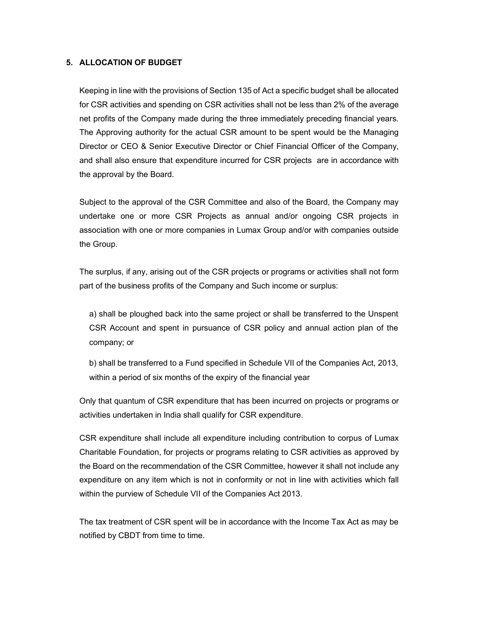# 5. ALLOCATION OF BUDGET

Keeping in line with the provisions of Section 135 of Act a specific budget shall be allocated for CSR activities and spending on CSR activities shall not be less than 2% of the average net profits of the Company made during the three immediately preceding financial years. The Approving authority for the actual CSR amount to be spent would be the Managing Director or CEO & Senior Executive Director or Chief Financial Officer of the Company, and shall also ensure that expenditure incurred for CSR projects are in accordance with the approval by the Board.

Subject to the approval of the CSR Committee and also of the Board, the Company may undertake one or more CSR Projects as annual and/or ongoing CSR projects in association with one or more companies in Lumax Group and/or with companies outside the Group.

The surplus, if any, arising out of the CSR projects or programs or activities shall not form part of the business profits of the Company and Such income or surplus:

a) shall be ploughed back into the same project or shall be transferred to the Unspent CSR Account and spent in pursuance of CSR policy and annual action plan of the company; or

b) shall be transferred to a Fund specified in Schedule VII of the Companies Act, 2013, within a period of six months of the expiry of the financial year

Only that quantum of CSR expenditure that has been incurred on projects or programs or activities undertaken in India shall qualify for CSR expenditure.

CSR expenditure shall include all expenditure including contribution to corpus of Lumax Charitable Foundation, for projects or programs relating to CSR activities as approved by the Board on the recommendation of the CSR Committee, however it shall not include any expenditure on any item which is not in conformity or not in line with activities which fall within the purview of Schedule VII of the Companies Act 2013.

The tax treatment of CSR spent will be in accordance with the Income Tax Act as may be notified by CBDT from time to time.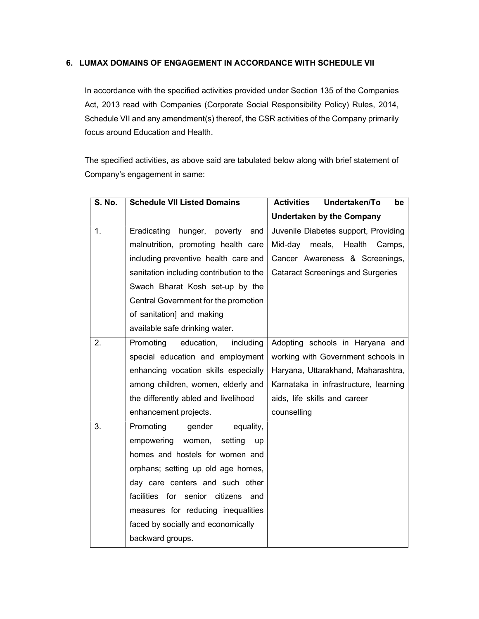# 6. LUMAX DOMAINS OF ENGAGEMENT IN ACCORDANCE WITH SCHEDULE VII

In accordance with the specified activities provided under Section 135 of the Companies Act, 2013 read with Companies (Corporate Social Responsibility Policy) Rules, 2014, Schedule VII and any amendment(s) thereof, the CSR activities of the Company primarily focus around Education and Health.

The specified activities, as above said are tabulated below along with brief statement of Company's engagement in same:

| <b>S. No.</b> | <b>Schedule VII Listed Domains</b>       | Undertaken/To<br><b>Activities</b><br>be |
|---------------|------------------------------------------|------------------------------------------|
|               |                                          | <b>Undertaken by the Company</b>         |
| 1.            | Eradicating<br>hunger,<br>poverty<br>and | Juvenile Diabetes support, Providing     |
|               | malnutrition, promoting health care      | Mid-day<br>meals,<br>Health<br>Camps,    |
|               | including preventive health care and     | Cancer Awareness & Screenings,           |
|               | sanitation including contribution to the | <b>Cataract Screenings and Surgeries</b> |
|               | Swach Bharat Kosh set-up by the          |                                          |
|               | Central Government for the promotion     |                                          |
|               | of sanitation] and making                |                                          |
|               | available safe drinking water.           |                                          |
| 2.            | Promoting<br>education,<br>including     | Adopting schools in Haryana and          |
|               | special education and employment         | working with Government schools in       |
|               | enhancing vocation skills especially     | Haryana, Uttarakhand, Maharashtra,       |
|               | among children, women, elderly and       | Karnataka in infrastructure, learning    |
|               | the differently abled and livelihood     | aids, life skills and career             |
|               | enhancement projects.                    | counselling                              |
| 3.            | Promoting<br>gender<br>equality,         |                                          |
|               | empowering<br>women,<br>setting<br>up    |                                          |
|               | homes and hostels for women and          |                                          |
|               | orphans; setting up old age homes,       |                                          |
|               | day care centers and such other          |                                          |
|               | facilities for senior citizens<br>and    |                                          |
|               | measures for reducing inequalities       |                                          |
|               | faced by socially and economically       |                                          |
|               | backward groups.                         |                                          |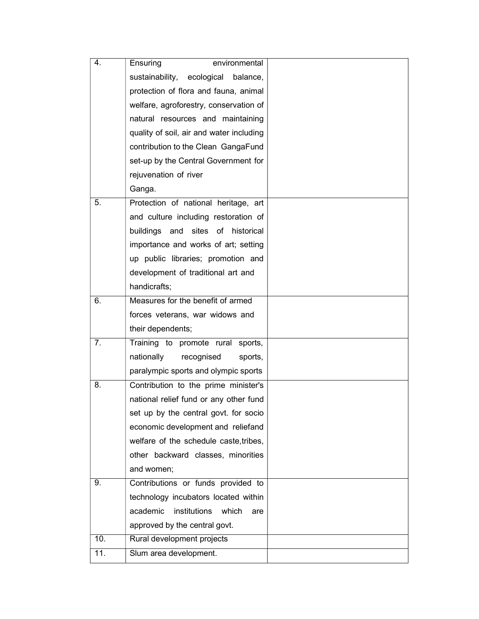| 4.  | Ensuring<br>environmental                |  |
|-----|------------------------------------------|--|
|     | sustainability,<br>ecological balance,   |  |
|     | protection of flora and fauna, animal    |  |
|     | welfare, agroforestry, conservation of   |  |
|     | natural resources and maintaining        |  |
|     | quality of soil, air and water including |  |
|     | contribution to the Clean GangaFund      |  |
|     | set-up by the Central Government for     |  |
|     | rejuvenation of river                    |  |
|     | Ganga.                                   |  |
| 5.  | Protection of national heritage, art     |  |
|     | and culture including restoration of     |  |
|     | buildings and sites of historical        |  |
|     | importance and works of art; setting     |  |
|     | up public libraries; promotion and       |  |
|     | development of traditional art and       |  |
|     | handicrafts;                             |  |
| 6.  | Measures for the benefit of armed        |  |
|     | forces veterans, war widows and          |  |
|     | their dependents;                        |  |
| 7.  | Training to promote rural sports,        |  |
|     | nationally<br>recognised<br>sports,      |  |
|     | paralympic sports and olympic sports     |  |
| 8.  | Contribution to the prime minister's     |  |
|     | national relief fund or any other fund   |  |
|     | set up by the central govt. for socio    |  |
|     | economic development and reliefand       |  |
|     | welfare of the schedule caste, tribes,   |  |
|     | other backward classes, minorities       |  |
|     | and women;                               |  |
| 9.  | Contributions or funds provided to       |  |
|     | technology incubators located within     |  |
|     | academic<br>institutions<br>which<br>are |  |
|     | approved by the central govt.            |  |
| 10. | Rural development projects               |  |
| 11. | Slum area development.                   |  |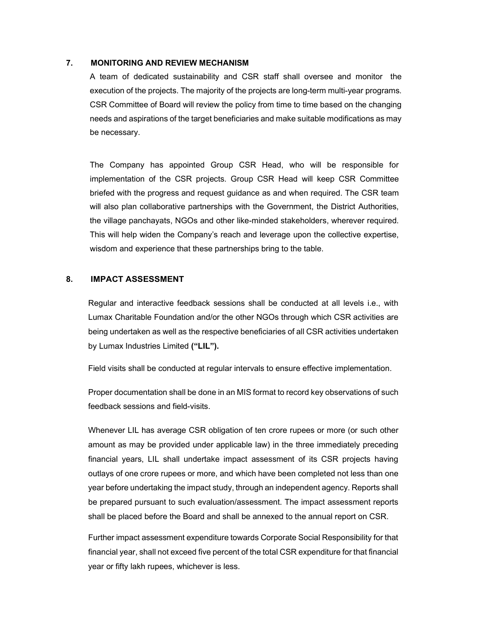#### 7. MONITORING AND REVIEW MECHANISM

A team of dedicated sustainability and CSR staff shall oversee and monitor the execution of the projects. The majority of the projects are long-term multi-year programs. CSR Committee of Board will review the policy from time to time based on the changing needs and aspirations of the target beneficiaries and make suitable modifications as may be necessary.

The Company has appointed Group CSR Head, who will be responsible for implementation of the CSR projects. Group CSR Head will keep CSR Committee briefed with the progress and request guidance as and when required. The CSR team will also plan collaborative partnerships with the Government, the District Authorities, the village panchayats, NGOs and other like-minded stakeholders, wherever required. This will help widen the Company's reach and leverage upon the collective expertise, wisdom and experience that these partnerships bring to the table.

## 8. IMPACT ASSESSMENT

Regular and interactive feedback sessions shall be conducted at all levels i.e., with Lumax Charitable Foundation and/or the other NGOs through which CSR activities are being undertaken as well as the respective beneficiaries of all CSR activities undertaken by Lumax Industries Limited ("LIL").

Field visits shall be conducted at regular intervals to ensure effective implementation.

Proper documentation shall be done in an MIS format to record key observations of such feedback sessions and field-visits.

Whenever LIL has average CSR obligation of ten crore rupees or more (or such other amount as may be provided under applicable law) in the three immediately preceding financial years, LIL shall undertake impact assessment of its CSR projects having outlays of one crore rupees or more, and which have been completed not less than one year before undertaking the impact study, through an independent agency. Reports shall be prepared pursuant to such evaluation/assessment. The impact assessment reports shall be placed before the Board and shall be annexed to the annual report on CSR.

Further impact assessment expenditure towards Corporate Social Responsibility for that financial year, shall not exceed five percent of the total CSR expenditure for that financial year or fifty lakh rupees, whichever is less.